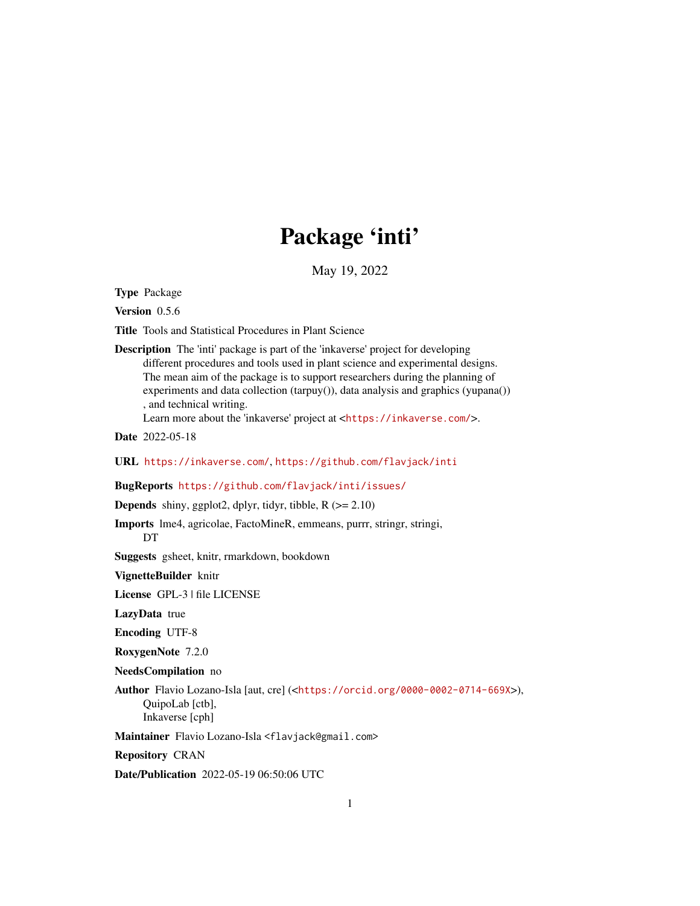# Package 'inti'

May 19, 2022

Type Package

Version 0.5.6

Title Tools and Statistical Procedures in Plant Science

Description The 'inti' package is part of the 'inkaverse' project for developing different procedures and tools used in plant science and experimental designs. The mean aim of the package is to support researchers during the planning of experiments and data collection (tarpuy()), data analysis and graphics (yupana()) , and technical writing. Learn more about the 'inkaverse' project at <<https://inkaverse.com/>>.

Date 2022-05-18

URL <https://inkaverse.com/>, <https://github.com/flavjack/inti>

BugReports <https://github.com/flavjack/inti/issues/>

**Depends** shiny, ggplot2, dplyr, tidyr, tibble,  $R$  ( $>= 2.10$ )

Imports lme4, agricolae, FactoMineR, emmeans, purrr, stringr, stringi, DT

Suggests gsheet, knitr, rmarkdown, bookdown

VignetteBuilder knitr

License GPL-3 | file LICENSE

LazyData true

Encoding UTF-8

RoxygenNote 7.2.0

NeedsCompilation no

Author Flavio Lozano-Isla [aut, cre] (<<https://orcid.org/0000-0002-0714-669X>>), QuipoLab [ctb], Inkaverse [cph]

Maintainer Flavio Lozano-Isla <flavjack@gmail.com>

Repository CRAN

Date/Publication 2022-05-19 06:50:06 UTC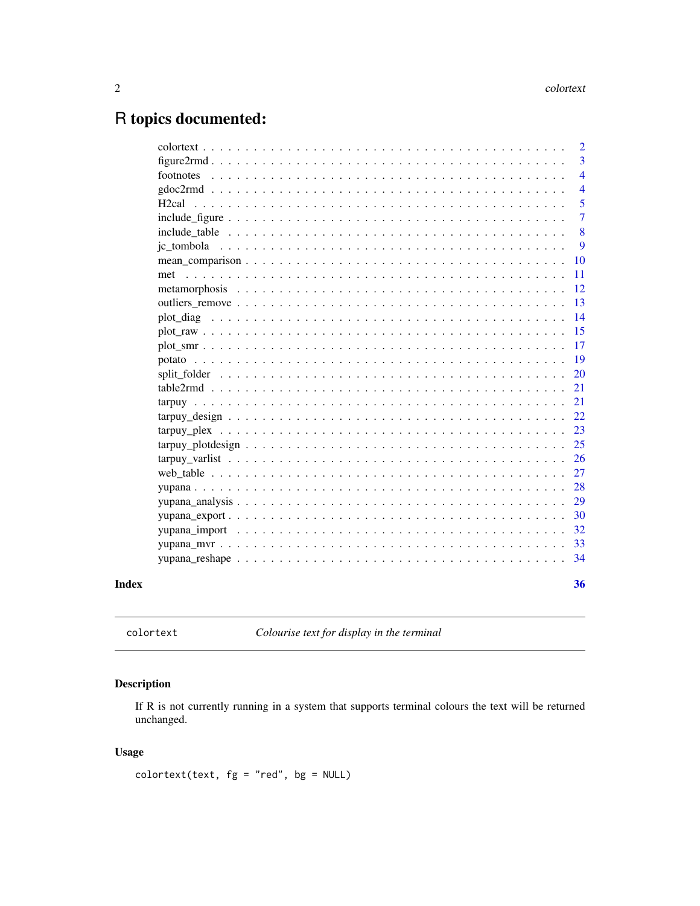# <span id="page-1-0"></span>R topics documented:

|                    | $\overline{2}$ |
|--------------------|----------------|
|                    | 3              |
| footnotes          | $\overline{4}$ |
|                    | $\overline{4}$ |
| H <sub>2</sub> cal | 5              |
|                    | 7              |
|                    | 8              |
|                    | 9              |
|                    | 10             |
|                    | 11             |
|                    | 12             |
|                    | 13             |
|                    | 14             |
|                    | 15             |
|                    | 17             |
|                    | 19             |
|                    | 20             |
|                    | 21             |
|                    | 21             |
|                    | 22             |
|                    | 23             |
|                    | 25             |
|                    | 26             |
|                    | 27             |
|                    | 28             |
|                    | 29             |
|                    | 30             |
|                    | 32             |
|                    | 33             |
|                    | 34             |
|                    | 36             |
|                    |                |

colortext *Colourise text for display in the terminal*

#### Description

If R is not currently running in a system that supports terminal colours the text will be returned unchanged.

#### Usage

 $colortext(text, fg = "red", bg = NULL)$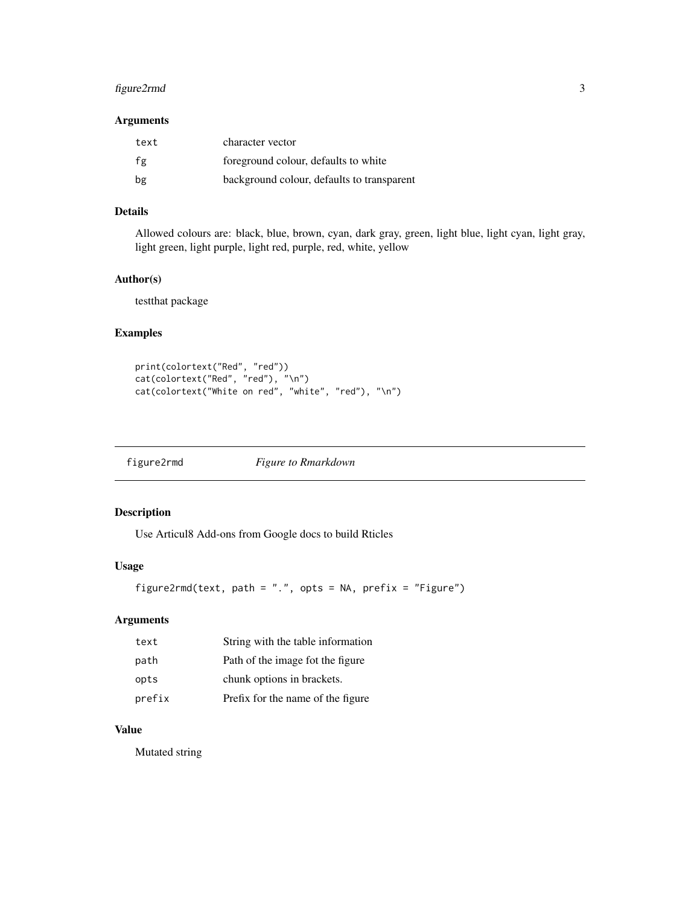#### <span id="page-2-0"></span>figure2rmd 3

#### Arguments

| text | character vector                           |
|------|--------------------------------------------|
| fg   | foreground colour, defaults to white       |
| bg   | background colour, defaults to transparent |

#### Details

Allowed colours are: black, blue, brown, cyan, dark gray, green, light blue, light cyan, light gray, light green, light purple, light red, purple, red, white, yellow

#### Author(s)

testthat package

#### Examples

```
print(colortext("Red", "red"))
cat(colortext("Red", "red"), "\n")
cat(colortext("White on red", "white", "red"), "\n")
```
figure2rmd *Figure to Rmarkdown*

#### Description

Use Articul8 Add-ons from Google docs to build Rticles

#### Usage

figure2rmd(text, path = ".", opts = NA, prefix = "Figure")

#### Arguments

| text   | String with the table information |
|--------|-----------------------------------|
| path   | Path of the image fot the figure  |
| opts   | chunk options in brackets.        |
| prefix | Prefix for the name of the figure |

#### Value

Mutated string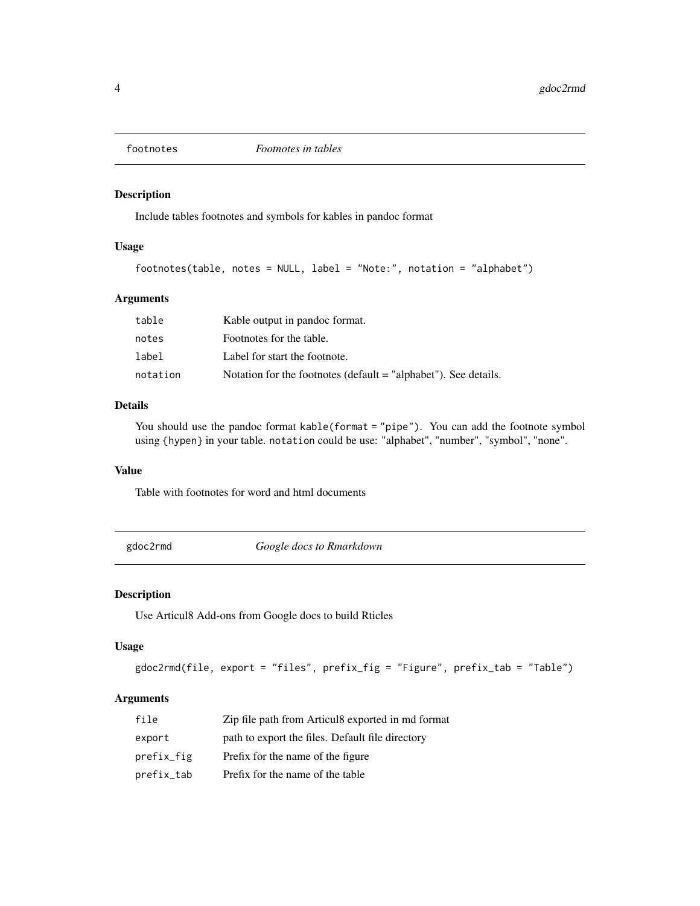<span id="page-3-0"></span>

Include tables footnotes and symbols for kables in pandoc format

#### Usage

```
footnotes(table, notes = NULL, label = "Note:", notation = "alphabet")
```
#### Arguments

| table    | Kable output in pandoc format.                                  |
|----------|-----------------------------------------------------------------|
| notes    | Footnotes for the table.                                        |
| label    | Label for start the footnote.                                   |
| notation | Notation for the footnotes (default = "alphabet"). See details. |

#### Details

You should use the pandoc format kable(format = "pipe"). You can add the footnote symbol using {hypen} in your table. notation could be use: "alphabet", "number", "symbol", "none".

#### Value

Table with footnotes for word and html documents

gdoc2rmd *Google docs to Rmarkdown*

#### Description

Use Articul8 Add-ons from Google docs to build Rticles

#### Usage

```
gdoc2rmd(file, export = "files", prefix_fig = "Figure", prefix_tab = "Table")
```
#### Arguments

| file       | Zip file path from Articul8 exported in md format |
|------------|---------------------------------------------------|
| export     | path to export the files. Default file directory  |
| prefix_fig | Prefix for the name of the figure                 |
| prefix_tab | Prefix for the name of the table                  |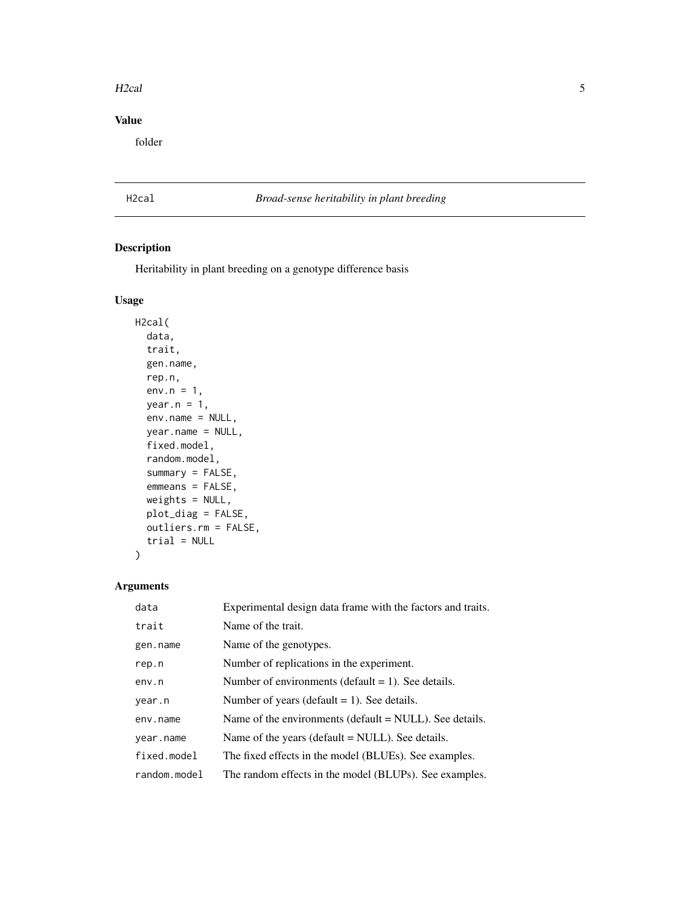#### <span id="page-4-0"></span>H2cal 5

#### Value

folder

#### H2cal *Broad-sense heritability in plant breeding*

#### Description

Heritability in plant breeding on a genotype difference basis

#### Usage

```
H2cal(
 data,
  trait,
 gen.name,
  rep.n,
  env.n = 1,
 year.n = 1,
 env.name = NULL,
 year.name = NULL,
  fixed.model,
  random.model,
  summary = FALSE,
  emmeans = FALSE,
 weights = NULL,
 plot_diag = FALSE,
 outliers.rm = FALSE,
  trial = NULL
\mathcal{L}
```
#### Arguments

| data           | Experimental design data frame with the factors and traits. |
|----------------|-------------------------------------------------------------|
| trait          | Name of the trait.                                          |
| gen.name       | Name of the genotypes.                                      |
| rep.n          | Number of replications in the experiment.                   |
| env.n          | Number of environments (default $= 1$ ). See details.       |
| year.n         | Number of years (default $= 1$ ). See details.              |
| env.name       | Name of the environments (default $=$ NULL). See details.   |
| year.name      | Name of the years (default $=$ NULL). See details.          |
| fixed.model    | The fixed effects in the model (BLUEs). See examples.       |
| $random_model$ | The random effects in the model (BLUPs). See examples.      |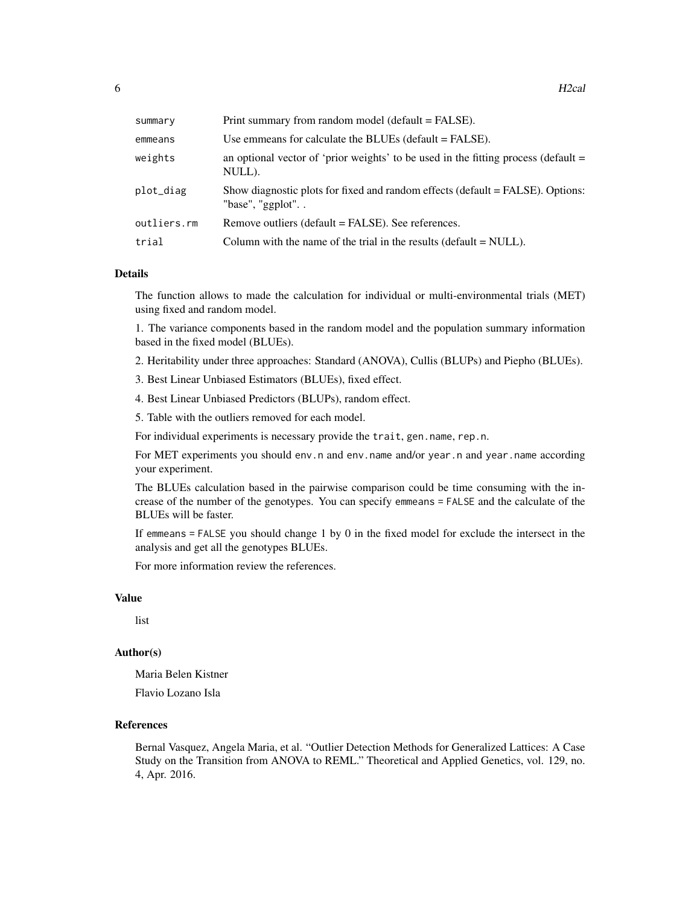| summary     | Print summary from random model (default = FALSE).                                                    |
|-------------|-------------------------------------------------------------------------------------------------------|
| emmeans     | Use emmeans for calculate the BLUEs (default $=$ FALSE).                                              |
| weights     | an optional vector of 'prior weights' to be used in the fitting process (default $=$<br>NULL).        |
| plot_diag   | Show diagnostic plots for fixed and random effects (default = FALSE). Options:<br>"base", "ggplot". . |
| outliers.rm | Remove outliers (default = FALSE). See references.                                                    |
| trial       | Column with the name of the trial in the results (default $=$ NULL).                                  |

#### Details

The function allows to made the calculation for individual or multi-environmental trials (MET) using fixed and random model.

1. The variance components based in the random model and the population summary information based in the fixed model (BLUEs).

2. Heritability under three approaches: Standard (ANOVA), Cullis (BLUPs) and Piepho (BLUEs).

3. Best Linear Unbiased Estimators (BLUEs), fixed effect.

4. Best Linear Unbiased Predictors (BLUPs), random effect.

5. Table with the outliers removed for each model.

For individual experiments is necessary provide the trait, gen.name, rep.n.

For MET experiments you should env.n and env.name and/or year.n and year.name according your experiment.

The BLUEs calculation based in the pairwise comparison could be time consuming with the increase of the number of the genotypes. You can specify emmeans = FALSE and the calculate of the BLUEs will be faster.

If emmeans = FALSE you should change 1 by 0 in the fixed model for exclude the intersect in the analysis and get all the genotypes BLUEs.

For more information review the references.

#### Value

list

#### Author(s)

Maria Belen Kistner

Flavio Lozano Isla

#### References

Bernal Vasquez, Angela Maria, et al. "Outlier Detection Methods for Generalized Lattices: A Case Study on the Transition from ANOVA to REML." Theoretical and Applied Genetics, vol. 129, no. 4, Apr. 2016.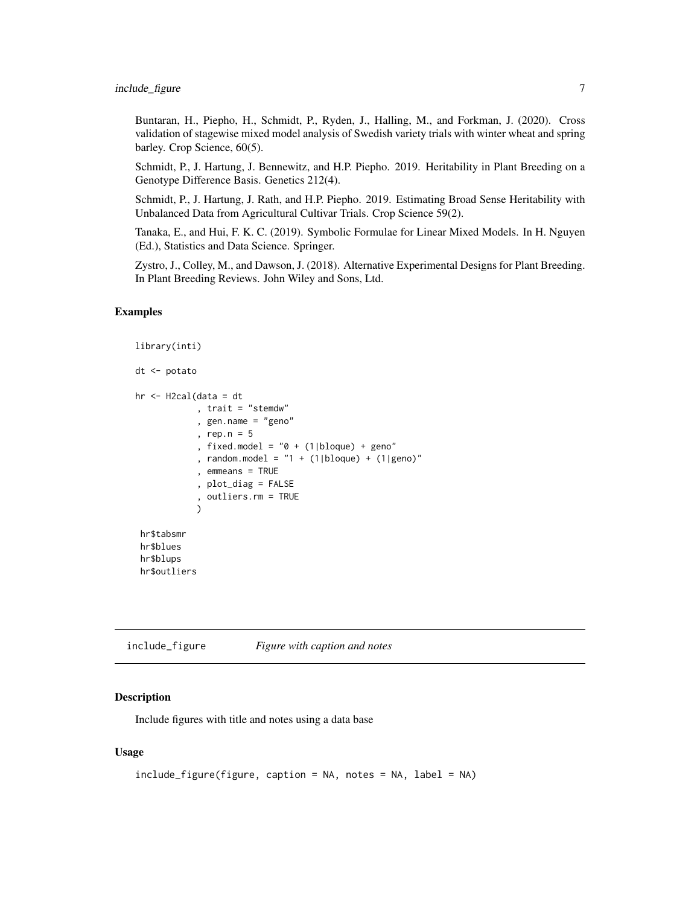<span id="page-6-0"></span>Buntaran, H., Piepho, H., Schmidt, P., Ryden, J., Halling, M., and Forkman, J. (2020). Cross validation of stagewise mixed model analysis of Swedish variety trials with winter wheat and spring barley. Crop Science, 60(5).

Schmidt, P., J. Hartung, J. Bennewitz, and H.P. Piepho. 2019. Heritability in Plant Breeding on a Genotype Difference Basis. Genetics 212(4).

Schmidt, P., J. Hartung, J. Rath, and H.P. Piepho. 2019. Estimating Broad Sense Heritability with Unbalanced Data from Agricultural Cultivar Trials. Crop Science 59(2).

Tanaka, E., and Hui, F. K. C. (2019). Symbolic Formulae for Linear Mixed Models. In H. Nguyen (Ed.), Statistics and Data Science. Springer.

Zystro, J., Colley, M., and Dawson, J. (2018). Alternative Experimental Designs for Plant Breeding. In Plant Breeding Reviews. John Wiley and Sons, Ltd.

#### Examples

```
library(inti)
dt <- potato
hr <- H2cal(data = dt
            , trait = "stemdw"
            , gen.name = "geno"
            , rep.n = 5
            , fixed.model = "0 + (1|b]oque) + geno"
            , random.model = "1 + (1|bloque) + (1|geno)"
            , emmeans = TRUE
            , plot_diag = FALSE
            , outliers.rm = TRUE
            )
hr$tabsmr
hr$blues
 hr$blups
 hr$outliers
```
include\_figure *Figure with caption and notes*

#### Description

Include figures with title and notes using a data base

#### Usage

```
include_figure(figure, caption = NA, notes = NA, label = NA)
```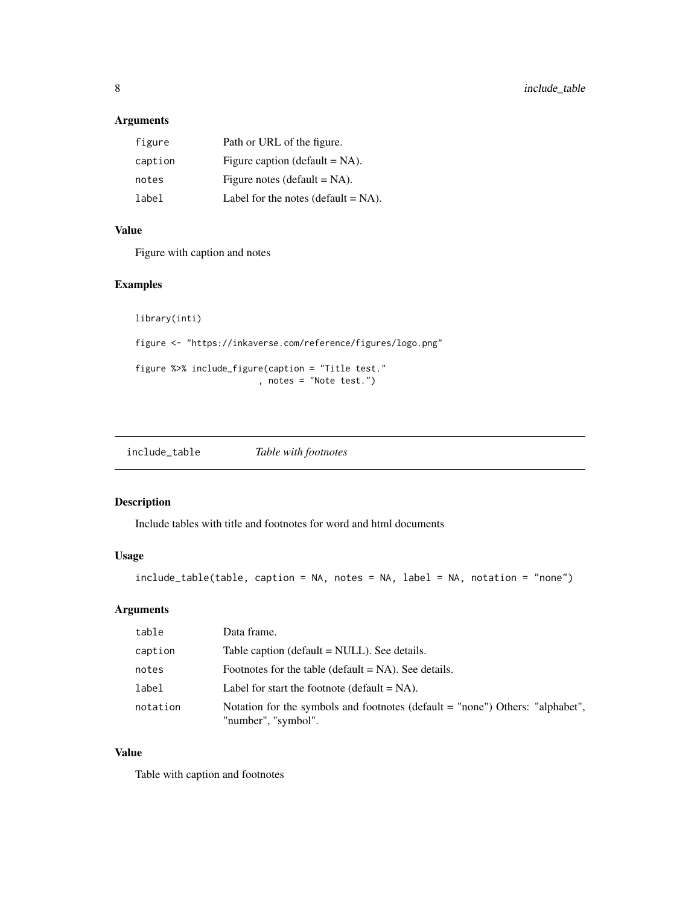#### <span id="page-7-0"></span>Arguments

| figure  | Path or URL of the figure.             |
|---------|----------------------------------------|
| caption | Figure caption (default $= NA$ ).      |
| notes   | Figure notes (default $= NA$ ).        |
| label   | Label for the notes (default $= NA$ ). |

#### Value

Figure with caption and notes

#### Examples

```
library(inti)
figure <- "https://inkaverse.com/reference/figures/logo.png"
figure %>% include_figure(caption = "Title test."
                        , notes = "Note test.")
```

| include_table | Table with footnotes |
|---------------|----------------------|
|---------------|----------------------|

#### Description

Include tables with title and footnotes for word and html documents

#### Usage

```
include_table(table, caption = NA, notes = NA, label = NA, notation = "none")
```
#### Arguments

| table    | Data frame.                                                                                          |
|----------|------------------------------------------------------------------------------------------------------|
| caption  | Table caption (default = NULL). See details.                                                         |
| notes    | Footnotes for the table (default $= NA$ ). See details.                                              |
| label    | Label for start the footnote (default $= NA$ ).                                                      |
| notation | Notation for the symbols and footnotes (default = "none") Others: "alphabet",<br>"number", "symbol". |

#### Value

Table with caption and footnotes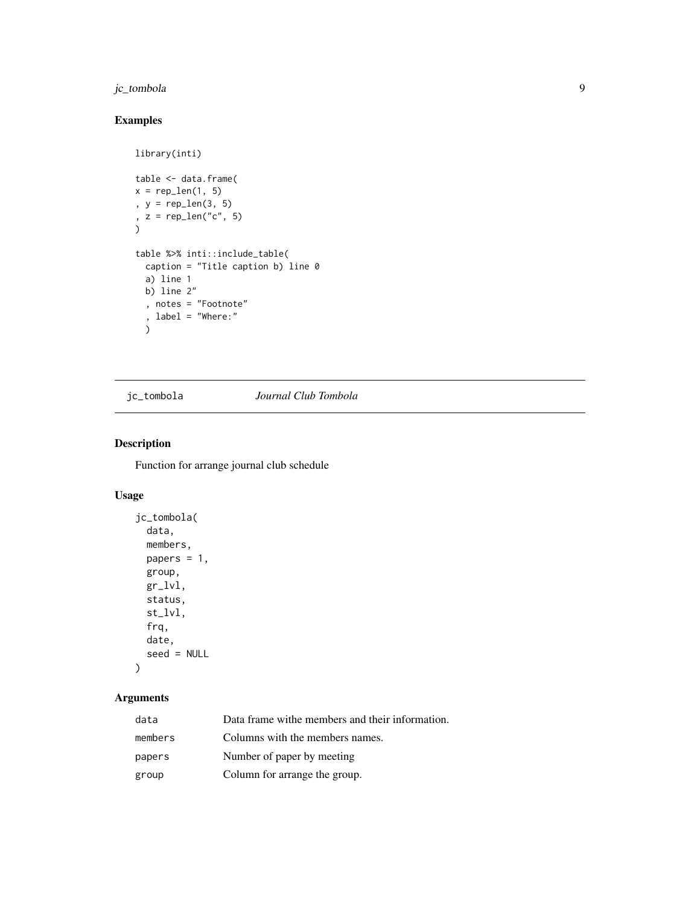#### <span id="page-8-0"></span>jc\_tombola 9

#### Examples

```
library(inti)
table <- data.frame(
x = rep\_len(1, 5), y = rep_len(3, 5)
, z = rep\_len("c", 5))
table %>% inti::include_table(
 caption = "Title caption b) line 0
  a) line 1
 b) line 2"
 , notes = "Footnote"
  , label = "Where:"
  \lambda
```
jc\_tombola *Journal Club Tombola*

#### Description

Function for arrange journal club schedule

#### Usage

```
jc_tombola(
  data,
 members,
 papers = 1,
 group,
 gr_lvl,
  status,
 st_lvl,
  frq,
 date,
  seed = NULL
\mathcal{L}
```
#### Arguments

| data    | Data frame withe members and their information. |
|---------|-------------------------------------------------|
| members | Columns with the members names.                 |
| papers  | Number of paper by meeting                      |
| group   | Column for arrange the group.                   |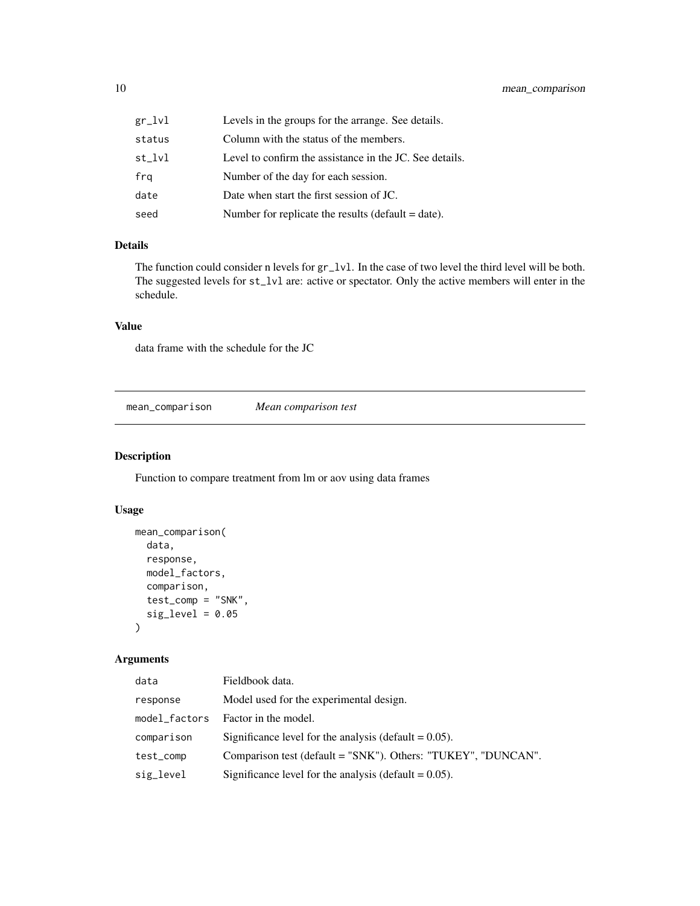<span id="page-9-0"></span>

| gr_lvl | Levels in the groups for the arrange. See details.      |
|--------|---------------------------------------------------------|
| status | Column with the status of the members.                  |
| st lvl | Level to confirm the assistance in the JC. See details. |
| frq    | Number of the day for each session.                     |
| date   | Date when start the first session of JC.                |
| seed   | Number for replicate the results (default $=$ date).    |

#### Details

The function could consider n levels for  $gr_l$  lvl. In the case of two level the third level will be both. The suggested levels for st\_lvl are: active or spectator. Only the active members will enter in the schedule.

#### Value

data frame with the schedule for the JC

mean\_comparison *Mean comparison test*

#### Description

Function to compare treatment from lm or aov using data frames

#### Usage

```
mean_comparison(
  data,
  response,
 model_factors,
  comparison,
  test_comp = "SNK",
  sig\_level = 0.05)
```
#### Arguments

| data          | Fieldbook data.                                               |
|---------------|---------------------------------------------------------------|
| response      | Model used for the experimental design.                       |
| model_factors | Factor in the model.                                          |
| comparison    | Significance level for the analysis (default $= 0.05$ ).      |
| test_comp     | Comparison test (default = "SNK"). Others: "TUKEY", "DUNCAN". |
| sig_level     | Significance level for the analysis (default $= 0.05$ ).      |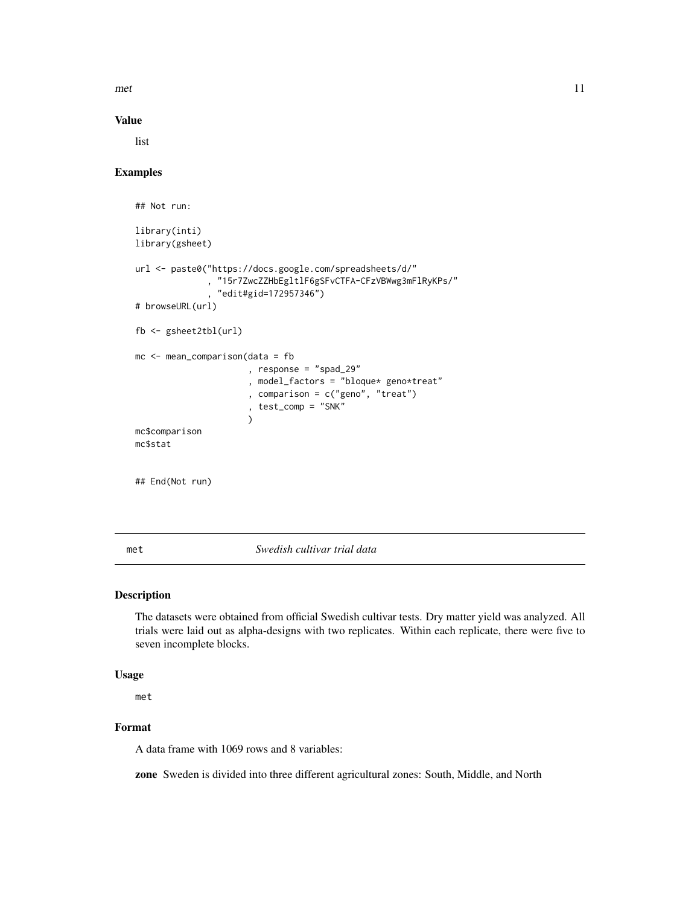<span id="page-10-0"></span>met the contract of the contract of the contract of the contract of the contract of the contract of the contract of the contract of the contract of the contract of the contract of the contract of the contract of the contra

#### Value

list

#### Examples

```
## Not run:
library(inti)
library(gsheet)
url <- paste0("https://docs.google.com/spreadsheets/d/"
              , "15r7ZwcZZHbEgltlF6gSFvCTFA-CFzVBWwg3mFlRyKPs/"
              , "edit#gid=172957346")
# browseURL(url)
fb <- gsheet2tbl(url)
mc <- mean_comparison(data = fb
                      , response = "spad_29"
                      , model_factors = "bloque* geno*treat"
                      , comparison = c("geno", "treat")
                      , test_comp = "SNK"
                      )
mc$comparison
mc$stat
## End(Not run)
```
met *Swedish cultivar trial data*

#### Description

The datasets were obtained from official Swedish cultivar tests. Dry matter yield was analyzed. All trials were laid out as alpha-designs with two replicates. Within each replicate, there were five to seven incomplete blocks.

#### Usage

met

#### Format

A data frame with 1069 rows and 8 variables:

zone Sweden is divided into three different agricultural zones: South, Middle, and North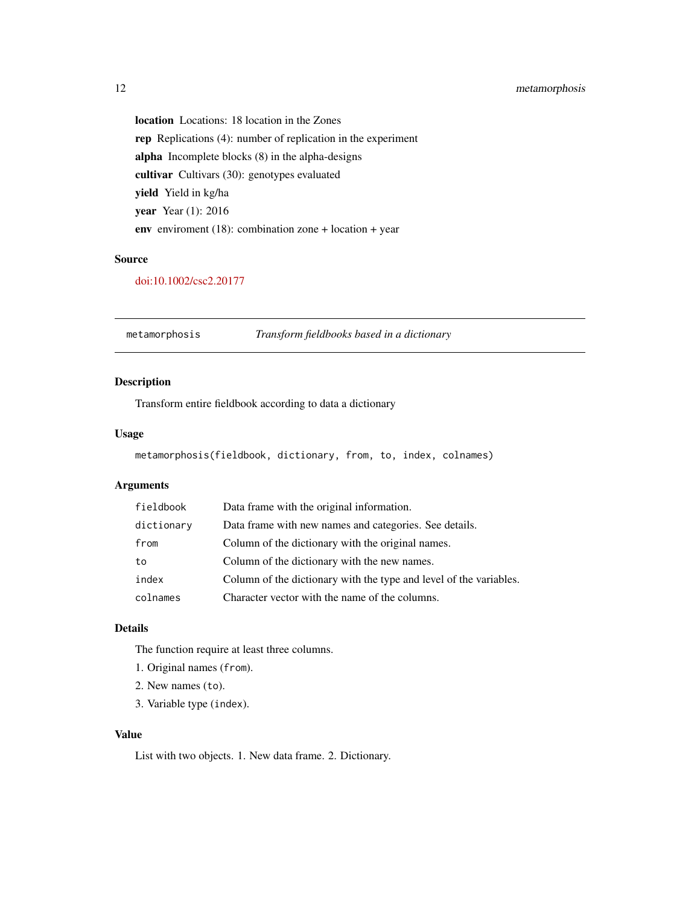#### <span id="page-11-0"></span>12 metamorphosis

location Locations: 18 location in the Zones rep Replications (4): number of replication in the experiment alpha Incomplete blocks (8) in the alpha-designs cultivar Cultivars (30): genotypes evaluated yield Yield in kg/ha year Year (1): 2016 env enviroment (18): combination zone + location + year

#### Source

[doi:10.1002/csc2.20177](https://doi.org/10.1002/csc2.20177)

metamorphosis *Transform fieldbooks based in a dictionary*

#### Description

Transform entire fieldbook according to data a dictionary

#### Usage

```
metamorphosis(fieldbook, dictionary, from, to, index, colnames)
```
#### Arguments

| fieldbook  | Data frame with the original information.                          |
|------------|--------------------------------------------------------------------|
| dictionary | Data frame with new names and categories. See details.             |
| from       | Column of the dictionary with the original names.                  |
| to         | Column of the dictionary with the new names.                       |
| index      | Column of the dictionary with the type and level of the variables. |
| colnames   | Character vector with the name of the columns.                     |

#### Details

The function require at least three columns.

- 1. Original names (from).
- 2. New names (to).
- 3. Variable type (index).

#### Value

List with two objects. 1. New data frame. 2. Dictionary.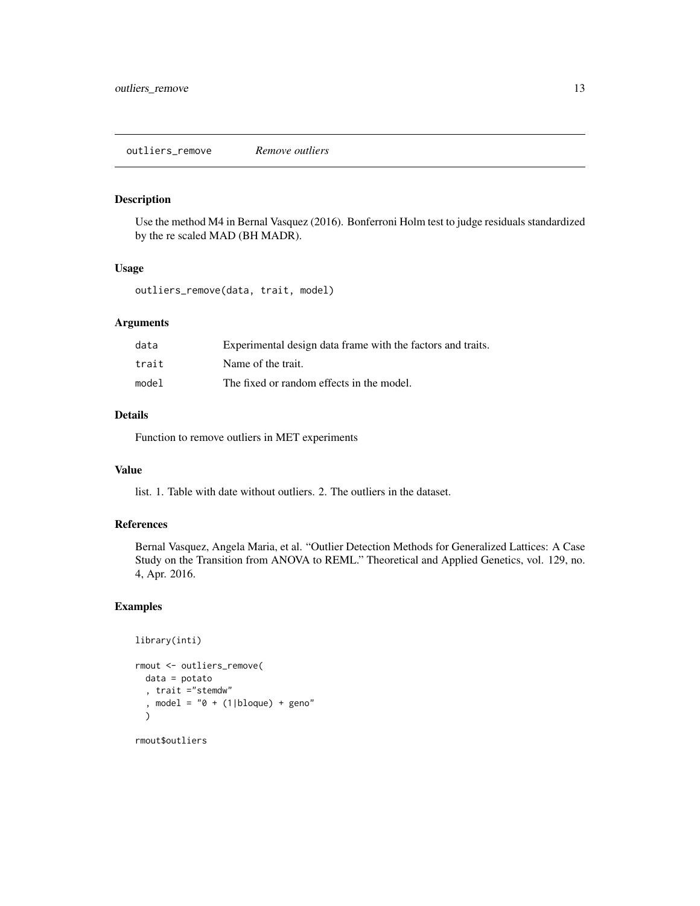<span id="page-12-0"></span>Use the method M4 in Bernal Vasquez (2016). Bonferroni Holm test to judge residuals standardized by the re scaled MAD (BH MADR).

#### Usage

outliers\_remove(data, trait, model)

#### Arguments

| data  | Experimental design data frame with the factors and traits. |
|-------|-------------------------------------------------------------|
| trait | Name of the trait.                                          |
| model | The fixed or random effects in the model.                   |

#### Details

Function to remove outliers in MET experiments

#### Value

list. 1. Table with date without outliers. 2. The outliers in the dataset.

#### References

Bernal Vasquez, Angela Maria, et al. "Outlier Detection Methods for Generalized Lattices: A Case Study on the Transition from ANOVA to REML." Theoretical and Applied Genetics, vol. 129, no. 4, Apr. 2016.

#### Examples

```
library(inti)
rmout <- outliers_remove(
 data = potato
  , trait ="stemdw"
  , model = "0 + (1|b]oque) + geno"
  \lambda
```
rmout\$outliers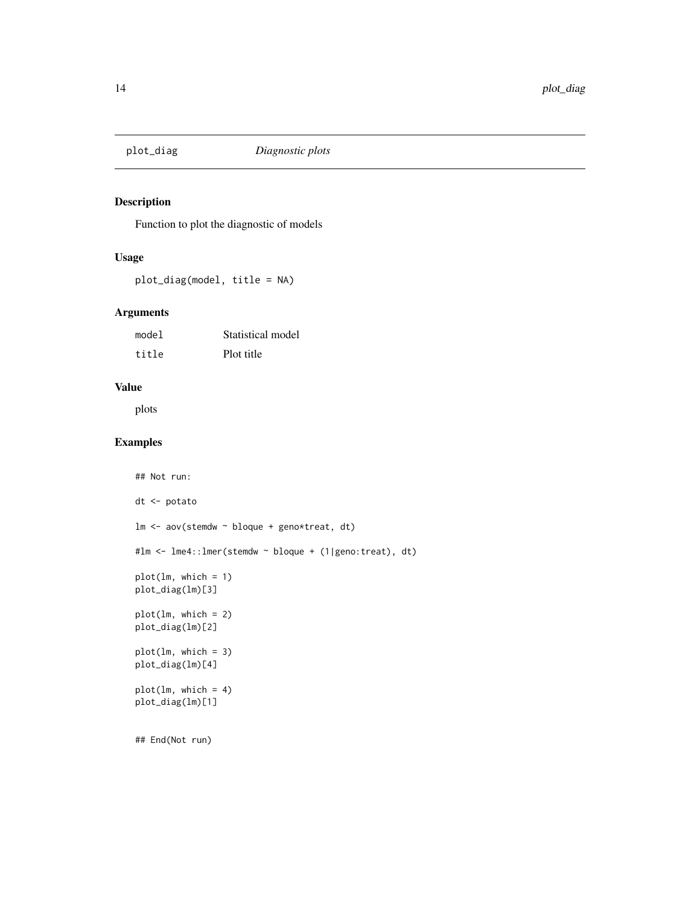<span id="page-13-0"></span>

Function to plot the diagnostic of models

#### Usage

plot\_diag(model, title = NA)

#### Arguments

| model | Statistical model |
|-------|-------------------|
| title | Plot title        |

#### Value

plots

#### Examples

```
## Not run:
dt <- potato
lm <- aov(stemdw ~ bloque + geno*treat, dt)
#lm <- lme4::lmer(stemdw ~ bloque + (1|geno:treat), dt)
plot(lm, which = 1)
plot_diag(lm)[3]
plot(lm, which = 2)
plot_diag(lm)[2]
plot(lm, which = 3)
plot_diag(lm)[4]
plot(lm, which = 4)
plot_diag(lm)[1]
## End(Not run)
```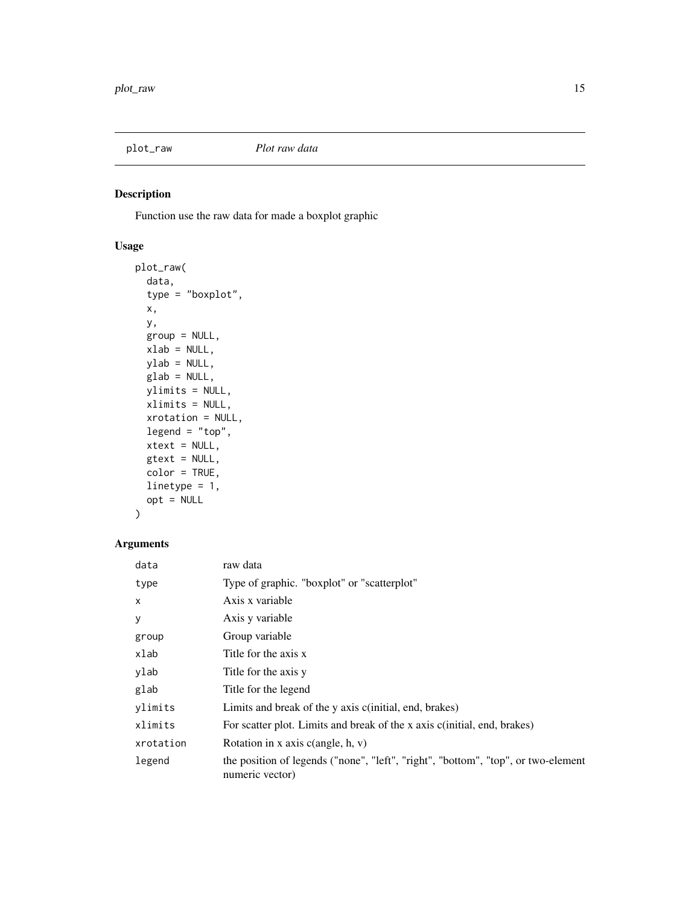<span id="page-14-0"></span>

Function use the raw data for made a boxplot graphic

#### Usage

```
plot_raw(
 data,
  type = "boxplot",
 x,
 y,
 group = NULL,
 xlab = NULL,
 ylab = NULL,
 glab = NULL,
 ylimits = NULL,
 xlimits = NULL,
 xrotation = NULL,
 legend = "top",xtext = NULL,gtext = NULL,
 color = TRUE,
 linetype = 1,
 opt = NULL)
```
#### Arguments

| data      | raw data                                                                                             |
|-----------|------------------------------------------------------------------------------------------------------|
| type      | Type of graphic. "boxplot" or "scatterplot"                                                          |
| $\times$  | Axis x variable                                                                                      |
| У         | Axis y variable                                                                                      |
| group     | Group variable                                                                                       |
| xlab      | Title for the axis x                                                                                 |
| ylab      | Title for the axis y                                                                                 |
| glab      | Title for the legend                                                                                 |
| ylimits   | Limits and break of the y axis c(initial, end, brakes)                                               |
| xlimits   | For scatter plot. Limits and break of the x axis c(initial, end, brakes)                             |
| xrotation | Rotation in x axis $c$ (angle, h, v)                                                                 |
| legend    | the position of legends ("none", "left", "right", "bottom", "top", or two-element<br>numeric vector) |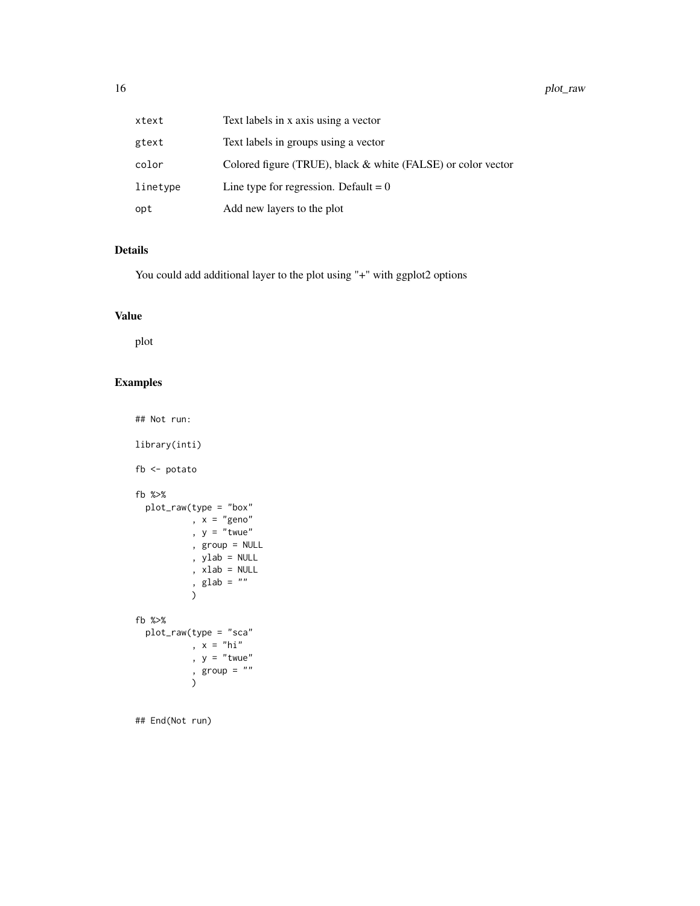| xtext    | Text labels in x axis using a vector                         |
|----------|--------------------------------------------------------------|
| gtext    | Text labels in groups using a vector                         |
| color    | Colored figure (TRUE), black & white (FALSE) or color vector |
| linetype | Line type for regression. Default = $0$                      |
| opt      | Add new layers to the plot                                   |

#### Details

You could add additional layer to the plot using "+" with ggplot2 options

#### Value

plot

## Examples

```
## Not run:
library(inti)
fb <- potato
fb %>%
  plot_raw(type = "box"
           , x = "geno"
           , y = "twe", group = NULL
           , ylab = NULL
           , xlab = NULL
            , glab = ")
fb %>%
  plot_raw(type = "sca"
            , x = "hi", y = "twe", group = \sqrt[n]{u}\mathcal{L}
```
## End(Not run)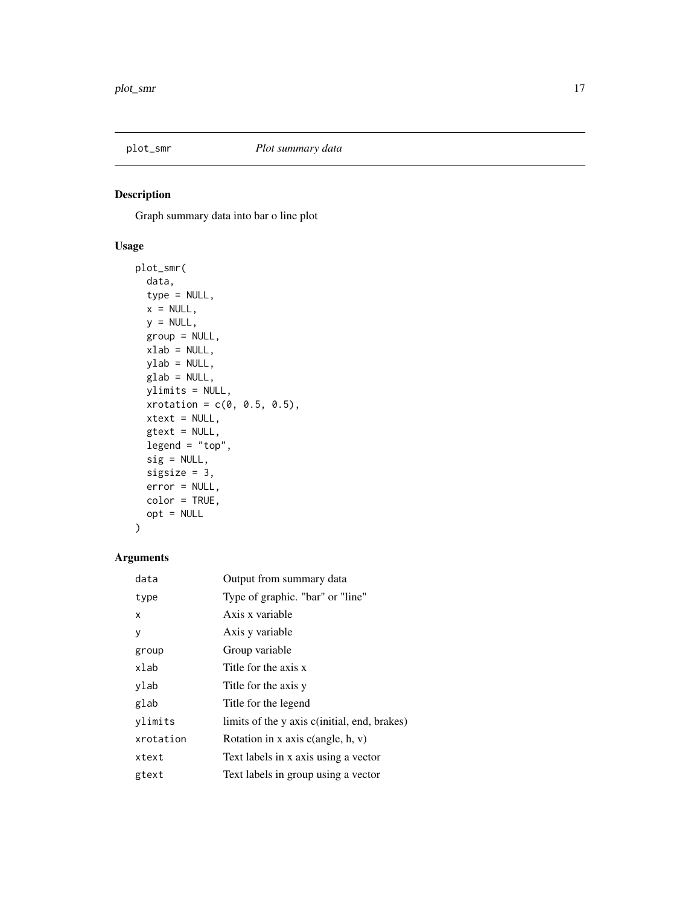<span id="page-16-0"></span>

Graph summary data into bar o line plot

#### Usage

```
plot_smr(
 data,
  type = NULL,
 x = NULL,y = NULL,group = NULL,
 xlab = NULL,
 ylab = NULL,
 glab = NULL,
 ylimits = NULL,
 xrotation = c(0, 0.5, 0.5),
 xtext = NULL,
 gtext = NULL,
 legend = "top",sig = NULL,sigsize = 3,
 error = NULL,
 color = TRUE,
 opt = NULL)
```
#### Arguments

| data      | Output from summary data                     |
|-----------|----------------------------------------------|
| type      | Type of graphic. "bar" or "line"             |
| x         | Axis x variable                              |
| у         | Axis y variable                              |
| group     | Group variable                               |
| xlab      | Title for the axis x                         |
| ylab      | Title for the axis y                         |
| glab      | Title for the legend                         |
| ylimits   | limits of the y axis c(initial, end, brakes) |
| xrotation | Rotation in x axis $c$ (angle, h, v)         |
| xtext     | Text labels in x axis using a vector         |
| gtext     | Text labels in group using a vector          |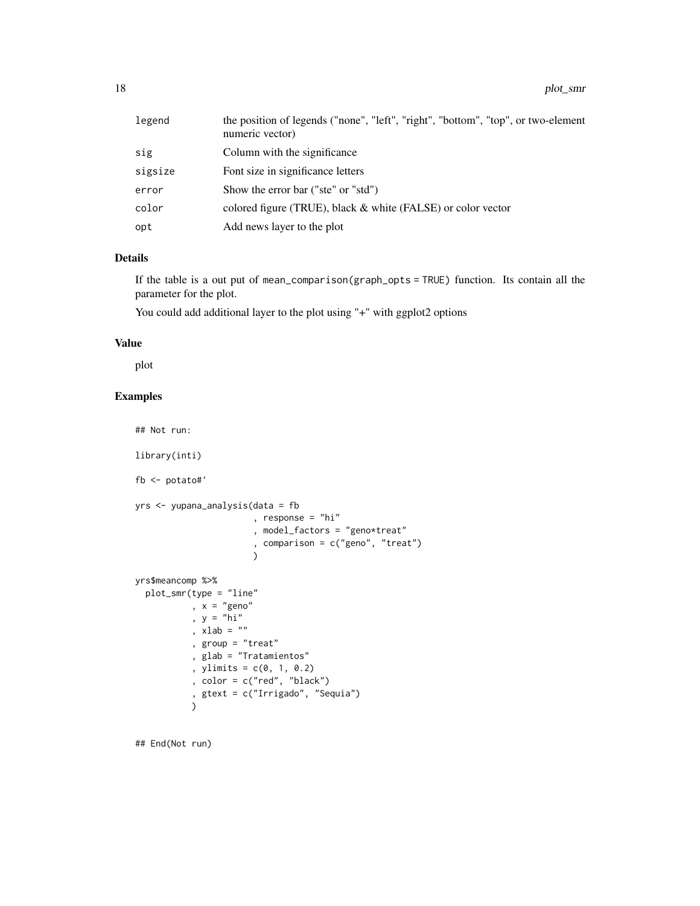| legend  | the position of legends ("none", "left", "right", "bottom", "top", or two-element<br>numeric vector) |
|---------|------------------------------------------------------------------------------------------------------|
| sig     | Column with the significance                                                                         |
| sigsize | Font size in significance letters                                                                    |
| error   | Show the error bar ("ste" or "std")                                                                  |
| color   | colored figure (TRUE), black $\&$ white (FALSE) or color vector                                      |
| opt     | Add news layer to the plot                                                                           |

#### Details

If the table is a out put of mean\_comparison(graph\_opts = TRUE) function. Its contain all the parameter for the plot.

You could add additional layer to the plot using "+" with ggplot2 options

#### Value

plot

#### Examples

```
## Not run:
library(inti)
fb <- potato#'
yrs <- yupana_analysis(data = fb
                       , response = "hi"
                       , model_factors = "geno*treat"
                       , comparison = c("geno", "treat")
                       )
yrs$meancomp %>%
  plot_smr(type = "line"
          , x = "geno", y = "hi", xlab = ", group = "treat"
           , glab = "Tratamientos"
           , ylimits = c(0, 1, 0.2), color = c("red", "black")
           , gtext = c("Irrigado", "Sequia")
           )
```
## End(Not run)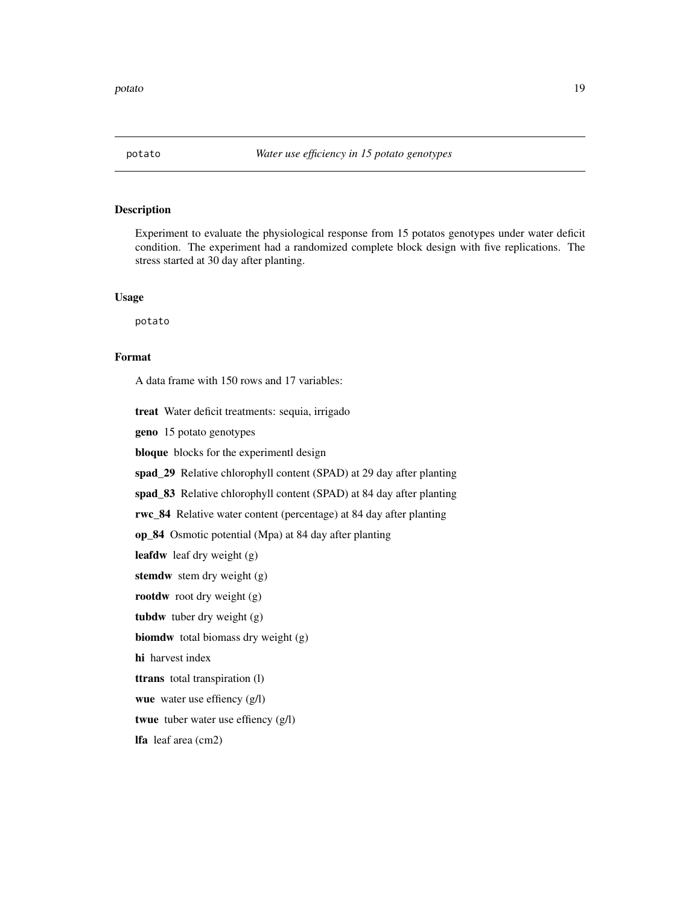<span id="page-18-0"></span>Experiment to evaluate the physiological response from 15 potatos genotypes under water deficit condition. The experiment had a randomized complete block design with five replications. The stress started at 30 day after planting.

#### Usage

potato

#### Format

A data frame with 150 rows and 17 variables:

treat Water deficit treatments: sequia, irrigado

geno 15 potato genotypes

bloque blocks for the experimentl design

spad\_29 Relative chlorophyll content (SPAD) at 29 day after planting

spad\_83 Relative chlorophyll content (SPAD) at 84 day after planting

rwc\_84 Relative water content (percentage) at 84 day after planting

op\_84 Osmotic potential (Mpa) at 84 day after planting

leafdw leaf dry weight (g)

stemdw stem dry weight (g)

rootdw root dry weight (g)

tubdw tuber dry weight (g)

biomdw total biomass dry weight (g)

hi harvest index

ttrans total transpiration (l)

wue water use effiency (g/l)

twue tuber water use effiency (g/l)

lfa leaf area (cm2)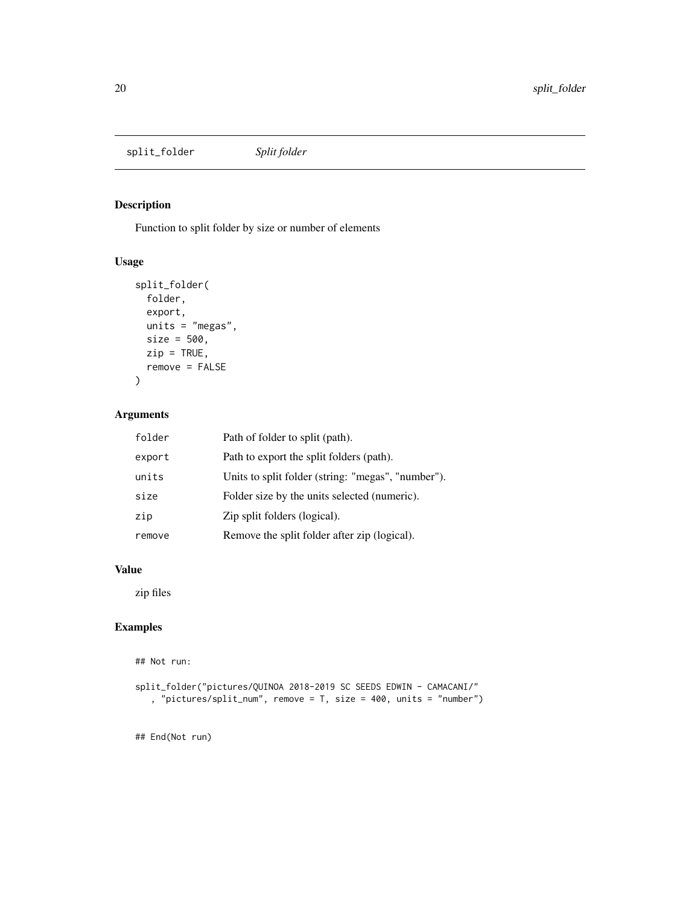<span id="page-19-0"></span>split\_folder *Split folder*

#### Description

Function to split folder by size or number of elements

#### Usage

```
split_folder(
 folder,
 export,
 units = "megas",
 size = 500,
 zip = TRUE,remove = FALSE
)
```
#### Arguments

| folder | Path of folder to split (path).                    |
|--------|----------------------------------------------------|
| export | Path to export the split folders (path).           |
| units  | Units to split folder (string: "megas", "number"). |
| size   | Folder size by the units selected (numeric).       |
| zip    | Zip split folders (logical).                       |
| remove | Remove the split folder after zip (logical).       |

#### Value

zip files

#### Examples

## Not run:

```
split_folder("pictures/QUINOA 2018-2019 SC SEEDS EDWIN - CAMACANI/"
   , "pictures/split_num", remove = T, size = 400, units = "number")
```
## End(Not run)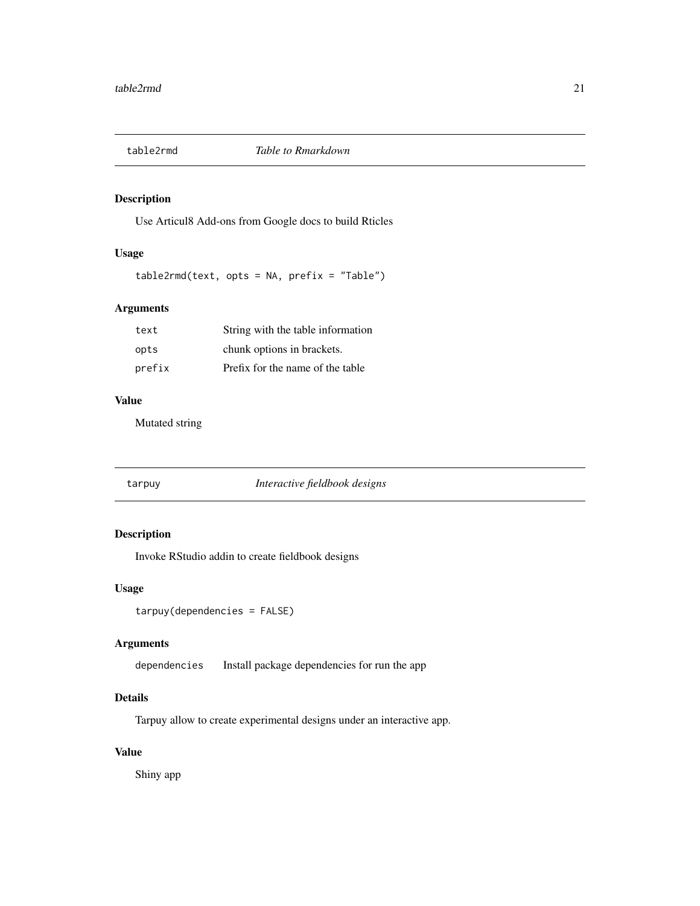<span id="page-20-0"></span>

Use Articul8 Add-ons from Google docs to build Rticles

#### Usage

table2rmd(text, opts = NA, prefix = "Table")

#### Arguments

| text   | String with the table information |
|--------|-----------------------------------|
| opts   | chunk options in brackets.        |
| prefix | Prefix for the name of the table  |

#### Value

Mutated string

| tarpuy |  |
|--------|--|
|        |  |

tarpuy *Interactive fieldbook designs*

#### Description

Invoke RStudio addin to create fieldbook designs

#### Usage

```
tarpuy(dependencies = FALSE)
```
#### Arguments

dependencies Install package dependencies for run the app

#### Details

Tarpuy allow to create experimental designs under an interactive app.

#### Value

Shiny app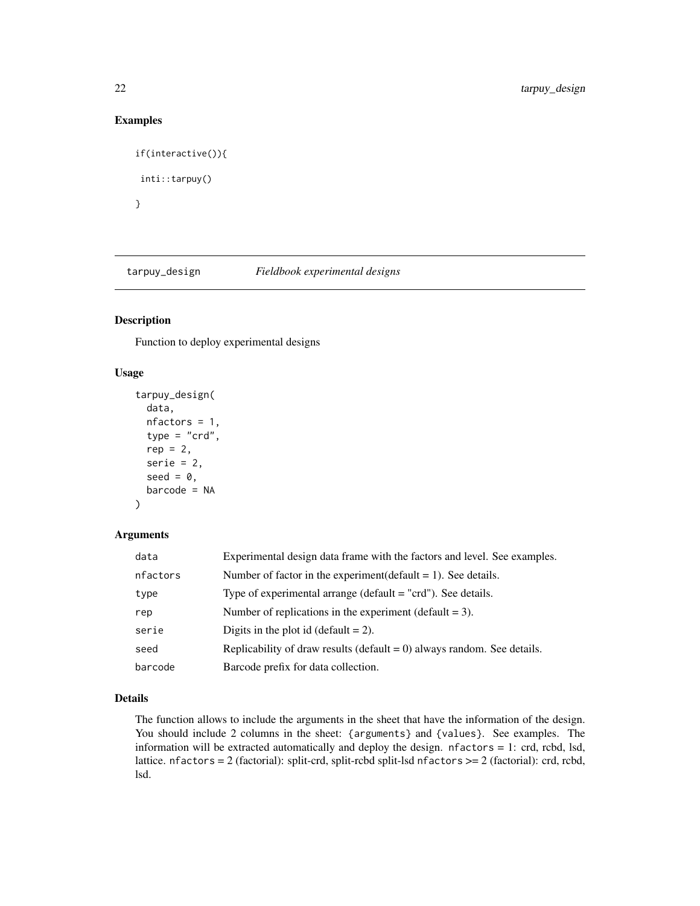#### Examples

```
if(interactive()){
inti::tarpuy()
}
```
tarpuy\_design *Fieldbook experimental designs*

#### Description

Function to deploy experimental designs

#### Usage

```
tarpuy_design(
 data,
 nfactors = 1,
  type = "crd",rep = 2,
  serie = 2,
  seed = 0,
 barcode = NA
)
```
#### Arguments

| data     | Experimental design data frame with the factors and level. See examples.   |
|----------|----------------------------------------------------------------------------|
| nfactors | Number of factor in the experiment (default $= 1$ ). See details.          |
| type     | Type of experimental arrange ( $default = "crd")$ . See details.           |
| rep      | Number of replications in the experiment (default $= 3$ ).                 |
| serie    | Digits in the plot id (default $= 2$ ).                                    |
| seed     | Replicability of draw results (default $= 0$ ) always random. See details. |
| barcode  | Barcode prefix for data collection.                                        |

#### Details

The function allows to include the arguments in the sheet that have the information of the design. You should include 2 columns in the sheet: {arguments} and {values}. See examples. The information will be extracted automatically and deploy the design. nfactors = 1: crd, rcbd, lsd, lattice. nfactors = 2 (factorial): split-crd, split-rcbd split-lsd nfactors >= 2 (factorial): crd, rcbd, lsd.

<span id="page-21-0"></span>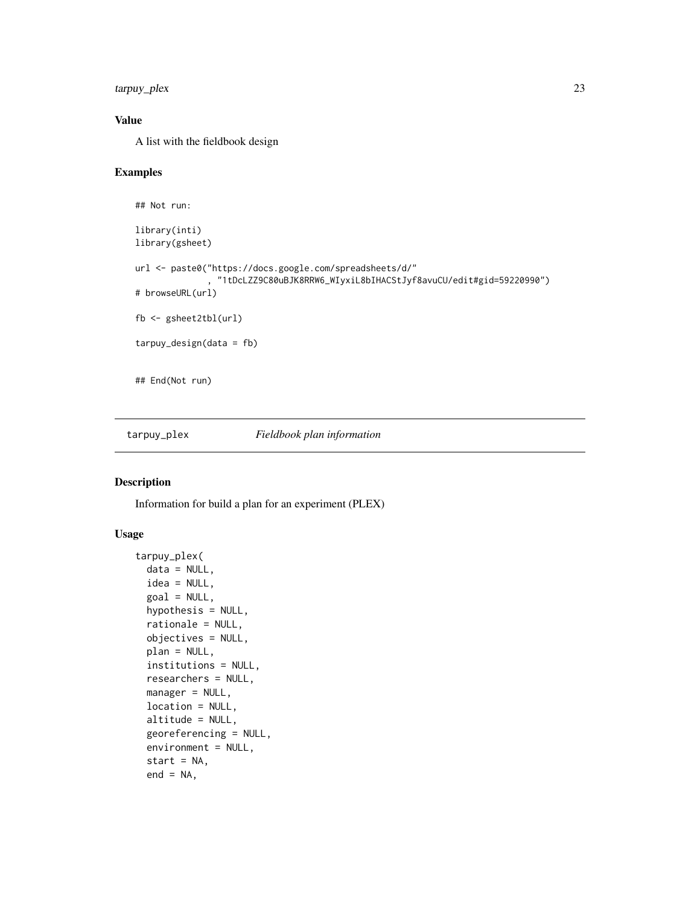<span id="page-22-0"></span>tarpuy\_plex 23

#### Value

A list with the fieldbook design

#### Examples

```
## Not run:
library(inti)
library(gsheet)
url <- paste0("https://docs.google.com/spreadsheets/d/"
              , "1tDcLZZ9C80uBJK8RRW6_WIyxiL8bIHACStJyf8avuCU/edit#gid=59220990")
# browseURL(url)
fb <- gsheet2tbl(url)
tarpuy_design(data = fb)
## End(Not run)
```
tarpuy\_plex *Fieldbook plan information*

#### Description

Information for build a plan for an experiment (PLEX)

#### Usage

```
tarpuy_plex(
 data = NULL,idea = NULL,
  goal = NULL,hypothesis = NULL,
  rationale = NULL,
 objectives = NULL,
 plan = NULL,
  institutions = NULL,
  researchers = NULL,
 manager = NULL,
  location = NULL,
  altitude = NULL,
  georeferencing = NULL,
  environment = NULL,
  start = NA,
  end = NA,
```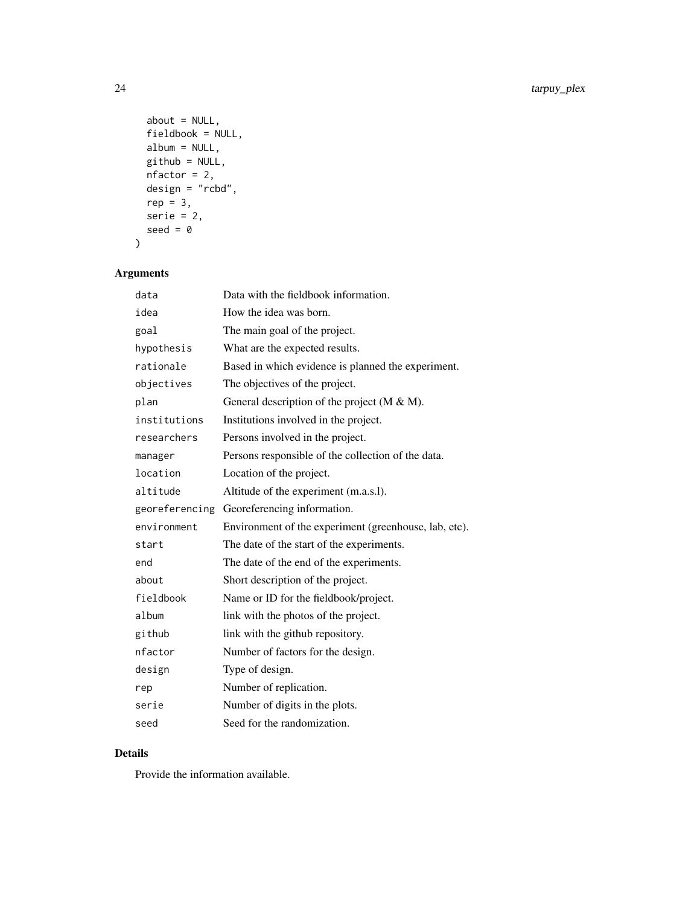```
about = NULL,fieldbook = NULL,
 album = NULL,github = NULL,
 nfactor = 2,
 design = "rcbd",
 rep = 3,serie = 2,
 seed = \theta)
```
#### Arguments

| data           | Data with the fieldbook information.                  |
|----------------|-------------------------------------------------------|
| idea           | How the idea was born.                                |
| goal           | The main goal of the project.                         |
| hypothesis     | What are the expected results.                        |
| rationale      | Based in which evidence is planned the experiment.    |
| objectives     | The objectives of the project.                        |
| plan           | General description of the project $(M & M)$ .        |
| institutions   | Institutions involved in the project.                 |
| researchers    | Persons involved in the project.                      |
| manager        | Persons responsible of the collection of the data.    |
| location       | Location of the project.                              |
| altitude       | Altitude of the experiment (m.a.s.l).                 |
| georeferencing | Georeferencing information.                           |
| environment    | Environment of the experiment (greenhouse, lab, etc). |
| start          | The date of the start of the experiments.             |
| end            | The date of the end of the experiments.               |
| about          | Short description of the project.                     |
| fieldbook      | Name or ID for the fieldbook/project.                 |
| album          | link with the photos of the project.                  |
| github         | link with the github repository.                      |
| nfactor        | Number of factors for the design.                     |
| design         | Type of design.                                       |
| rep            | Number of replication.                                |
| serie          | Number of digits in the plots.                        |
| seed           | Seed for the randomization.                           |

#### Details

Provide the information available.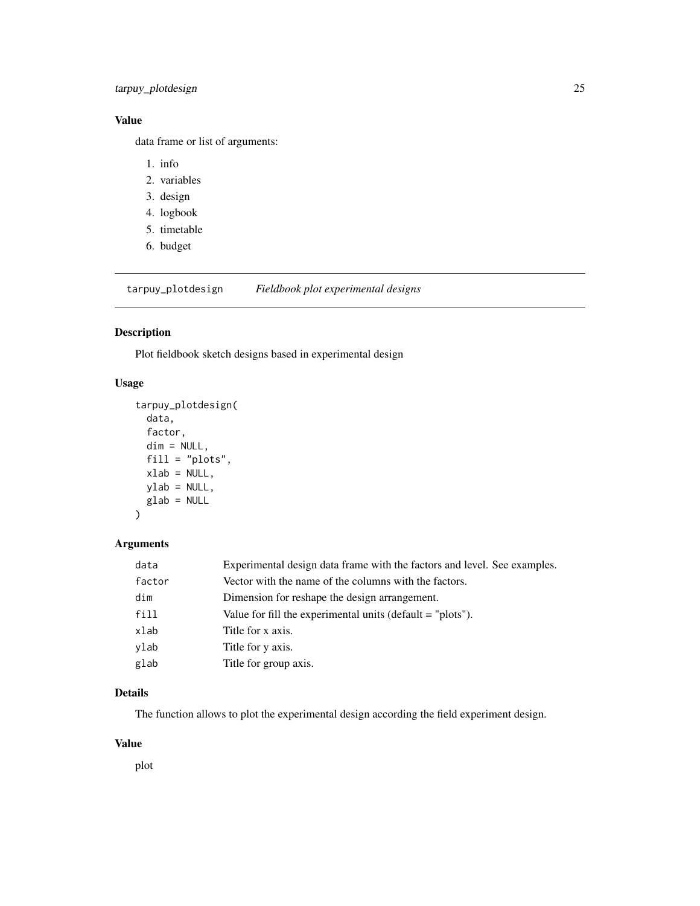#### <span id="page-24-0"></span>Value

data frame or list of arguments:

- 1. info
- 2. variables
- 3. design
- 4. logbook
- 5. timetable
- 6. budget

tarpuy\_plotdesign *Fieldbook plot experimental designs*

#### Description

Plot fieldbook sketch designs based in experimental design

#### Usage

```
tarpuy_plotdesign(
  data,
  factor,
  dim = NULL,
  fill = "plots",
 xlab = NULL,
 ylab = NULL,
 glab = NULL
)
```
#### Arguments

| data   | Experimental design data frame with the factors and level. See examples. |
|--------|--------------------------------------------------------------------------|
| factor | Vector with the name of the columns with the factors.                    |
| dim    | Dimension for reshape the design arrangement.                            |
| fill   | Value for fill the experimental units (default $=$ "plots").             |
| xlab   | Title for x axis.                                                        |
| ylab   | Title for y axis.                                                        |
| glab   | Title for group axis.                                                    |

#### Details

The function allows to plot the experimental design according the field experiment design.

#### Value

plot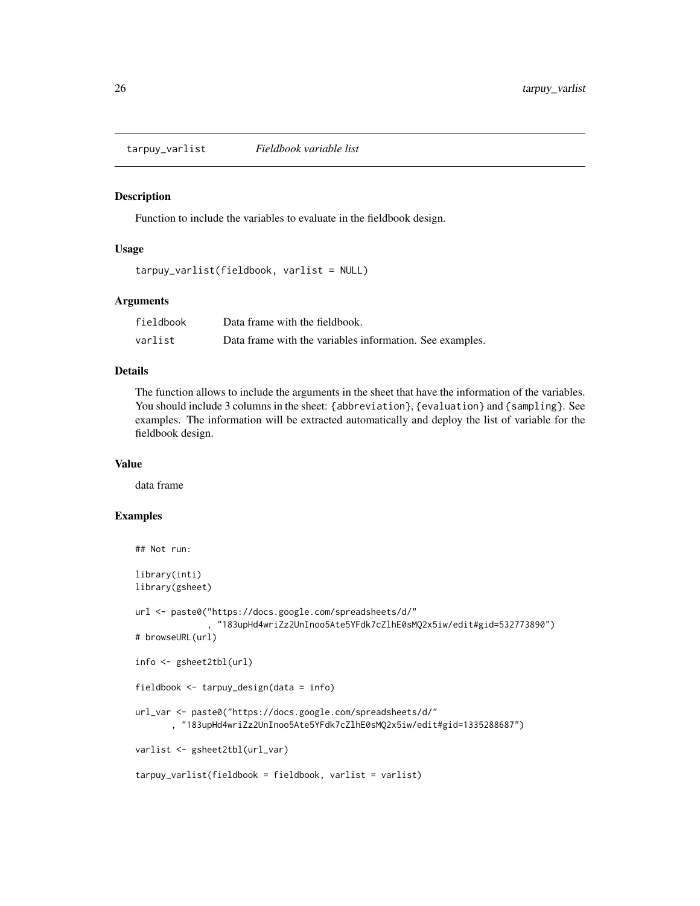<span id="page-25-0"></span>tarpuy\_varlist *Fieldbook variable list*

#### Description

Function to include the variables to evaluate in the fieldbook design.

#### Usage

```
tarpuy_varlist(fieldbook, varlist = NULL)
```
#### Arguments

| fieldbook | Data frame with the fieldbook.                           |
|-----------|----------------------------------------------------------|
| varlist   | Data frame with the variables information. See examples. |

#### Details

The function allows to include the arguments in the sheet that have the information of the variables. You should include 3 columns in the sheet: {abbreviation}, {evaluation} and {sampling}. See examples. The information will be extracted automatically and deploy the list of variable for the fieldbook design.

#### Value

data frame

#### Examples

```
## Not run:
library(inti)
library(gsheet)
url <- paste0("https://docs.google.com/spreadsheets/d/"
               , "183upHd4wriZz2UnInoo5Ate5YFdk7cZlhE0sMQ2x5iw/edit#gid=532773890")
# browseURL(url)
info <- gsheet2tbl(url)
fieldbook <- tarpuy_design(data = info)
url_var <- paste0("https://docs.google.com/spreadsheets/d/"
       , "183upHd4wriZz2UnInoo5Ate5YFdk7cZlhE0sMQ2x5iw/edit#gid=1335288687")
varlist <- gsheet2tbl(url_var)
tarpuy_varlist(fieldbook = fieldbook, varlist = varlist)
```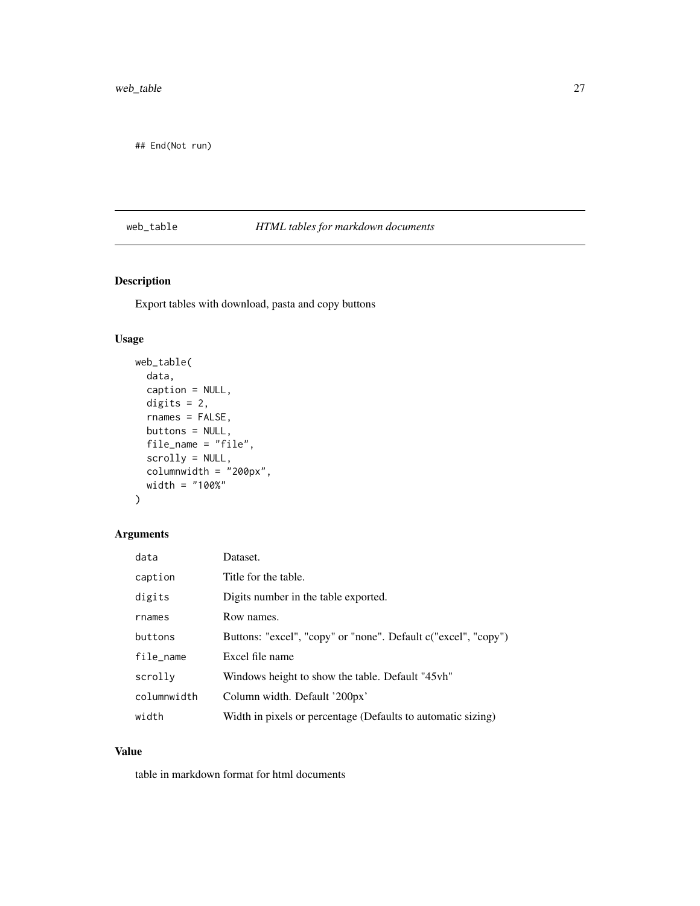<span id="page-26-0"></span>## End(Not run)

#### web\_table *HTML tables for markdown documents*

#### Description

Export tables with download, pasta and copy buttons

#### Usage

```
web_table(
 data,
 caption = NULL,
 digits = 2,
  rnames = FALSE,
 buttons = NULL,
  file_name = "file",
  scrolly = NULL,
  columnwidth = "200px",
 width = "100%"
\mathcal{L}
```
### Arguments

| data        | Dataset.                                                       |
|-------------|----------------------------------------------------------------|
| caption     | Title for the table.                                           |
| digits      | Digits number in the table exported.                           |
| rnames      | Row names.                                                     |
| buttons     | Buttons: "excel", "copy" or "none". Default c("excel", "copy") |
| file_name   | Excel file name                                                |
| scrolly     | Windows height to show the table. Default "45vh"               |
| columnwidth | Column width. Default '200px'                                  |
| width       | Width in pixels or percentage (Defaults to automatic sizing)   |

#### Value

table in markdown format for html documents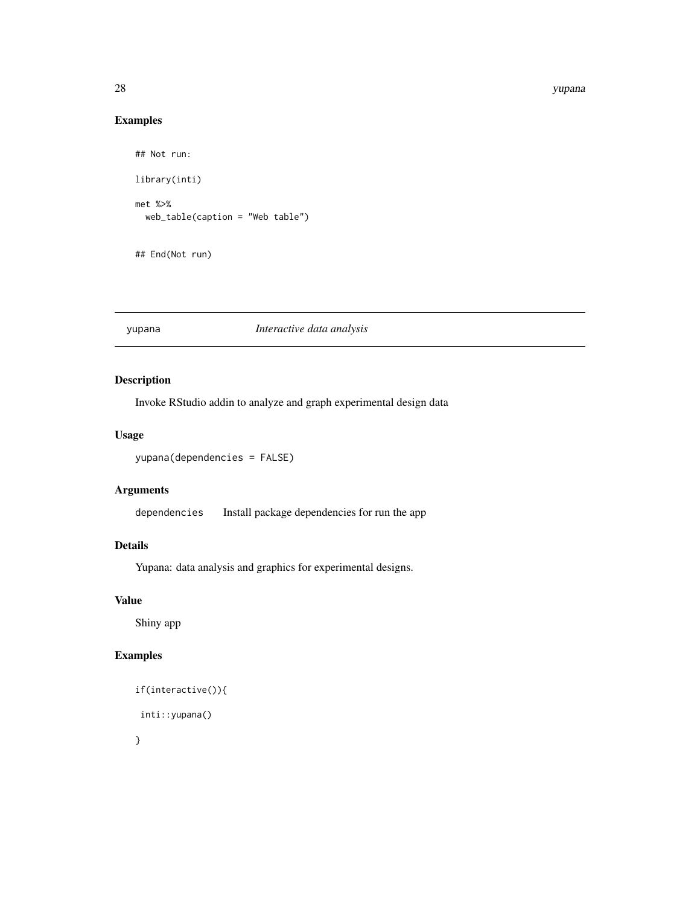#### 28 yupana

#### Examples

```
## Not run:
library(inti)
met %>%
  web_table(caption = "Web table")
## End(Not run)
```
#### yupana *Interactive data analysis*

#### Description

Invoke RStudio addin to analyze and graph experimental design data

#### Usage

```
yupana(dependencies = FALSE)
```
#### Arguments

dependencies Install package dependencies for run the app

#### Details

Yupana: data analysis and graphics for experimental designs.

#### Value

Shiny app

#### Examples

```
if(interactive()){
inti::yupana()
}
```
<span id="page-27-0"></span>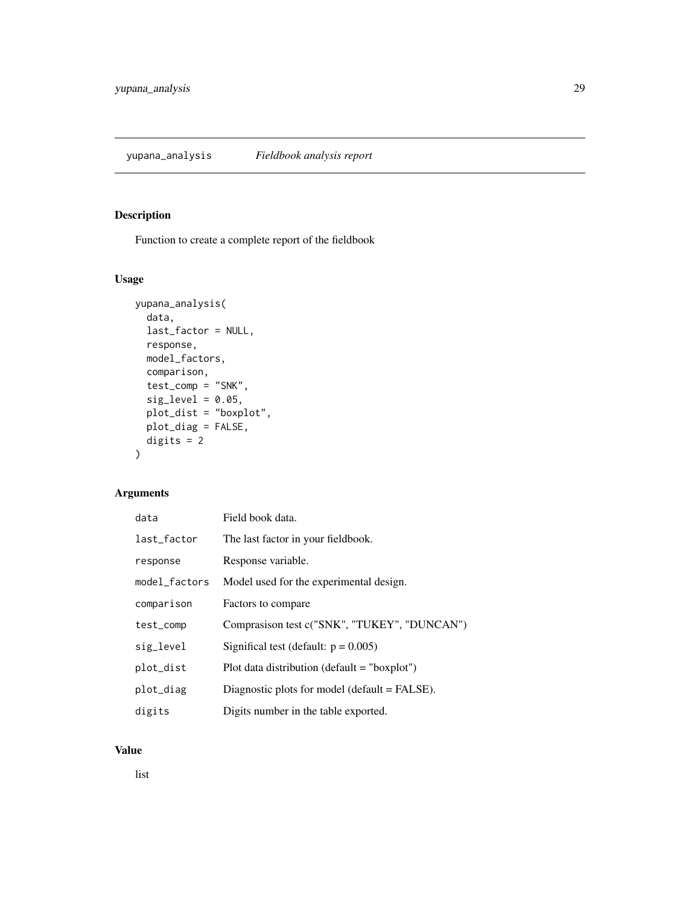<span id="page-28-0"></span>Function to create a complete report of the fieldbook

#### Usage

```
yupana_analysis(
  data,
  last_factor = NULL,
  response,
  model_factors,
  comparison,
  test_comp = "SNK",
  sig\_level = 0.05,
  plot_dist = "boxplot",
  plot_diag = FALSE,
  digits = 2
\mathcal{L}
```
#### Arguments

| data          | Field book data.                               |
|---------------|------------------------------------------------|
| last_factor   | The last factor in your fieldbook.             |
| response      | Response variable.                             |
| model_factors | Model used for the experimental design.        |
| comparison    | Factors to compare                             |
| test_comp     | Comprasison test c("SNK", "TUKEY", "DUNCAN")   |
| sig_level     | Significal test (default: $p = 0.005$ )        |
| plot_dist     | Plot data distribution (default $=$ "boxplot") |
| plot_diag     | Diagnostic plots for model (default = FALSE).  |
| digits        | Digits number in the table exported.           |

#### Value

list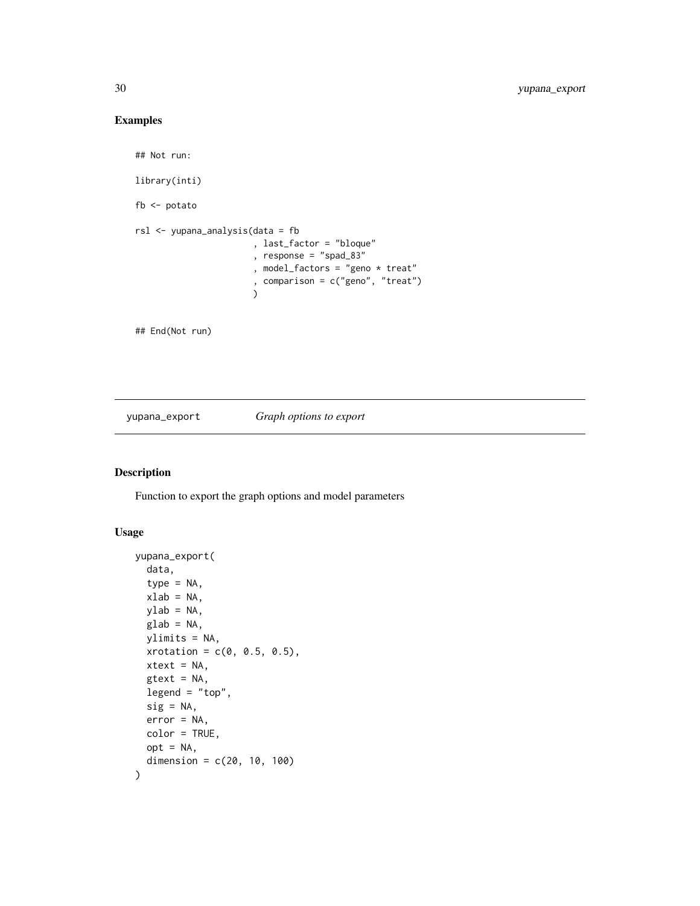#### <span id="page-29-0"></span>Examples

```
## Not run:
library(inti)
fb <- potato
rsl <- yupana_analysis(data = fb
                       , last_factor = "bloque"
                        , response = "spad_83"
                       , model_factors = "geno * treat"
                        , comparison = c("geno", "treat")
                       \lambda
```
## End(Not run)

#### yupana\_export *Graph options to export*

#### Description

Function to export the graph options and model parameters

#### Usage

```
yupana_export(
  data,
  type = NA,
  xlab = NA,
 ylab = NA,
  glab = NA,
 ylimits = NA,
  xrotation = c(0, 0.5, 0.5),
 xtext = NA,
 gtext = NA,
 legend = "top",
  sig = NA,
 error = NA,
 color = TRUE,
 opt = NA,
  dimension = c(20, 10, 100)\mathcal{E}
```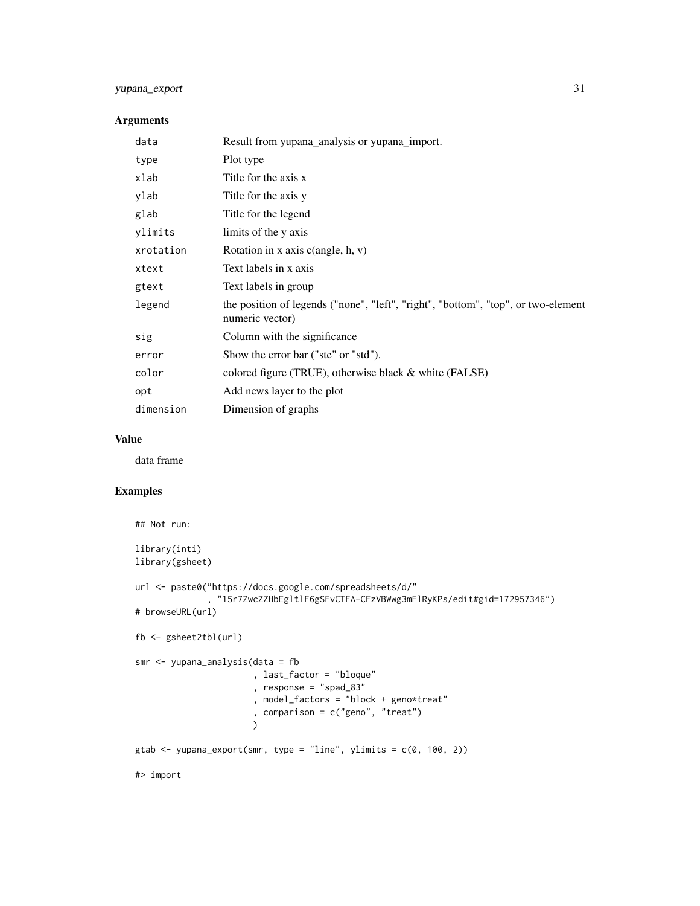#### yupana\_export 31

#### Arguments

| data      | Result from yupana_analysis or yupana_import.                                                        |
|-----------|------------------------------------------------------------------------------------------------------|
| type      | Plot type                                                                                            |
| xlab      | Title for the axis x                                                                                 |
| ylab      | Title for the axis y                                                                                 |
| glab      | Title for the legend                                                                                 |
| ylimits   | limits of the y axis                                                                                 |
| xrotation | Rotation in x axis $c$ (angle, h, v)                                                                 |
| xtext     | Text labels in x axis                                                                                |
| gtext     | Text labels in group                                                                                 |
| legend    | the position of legends ("none", "left", "right", "bottom", "top", or two-element<br>numeric vector) |
| sig       | Column with the significance                                                                         |
| error     | Show the error bar ("ste" or "std").                                                                 |
| color     | colored figure (TRUE), otherwise black & white (FALSE)                                               |
| opt       | Add news layer to the plot                                                                           |
| dimension | Dimension of graphs                                                                                  |

#### Value

data frame

#### Examples

```
## Not run:
library(inti)
library(gsheet)
url <- paste0("https://docs.google.com/spreadsheets/d/"
              , "15r7ZwcZZHbEgltlF6gSFvCTFA-CFzVBWwg3mFlRyKPs/edit#gid=172957346")
# browseURL(url)
fb <- gsheet2tbl(url)
smr <- yupana_analysis(data = fb
                       , last_factor = "bloque"
                       , response = "spad_83"
                       , model_factors = "block + geno*treat"
                       , comparison = c("geno", "treat")
                       )
gtab \le yupana_export(smr, type = "line", ylimits = c(\theta, 100, 2))
#> import
```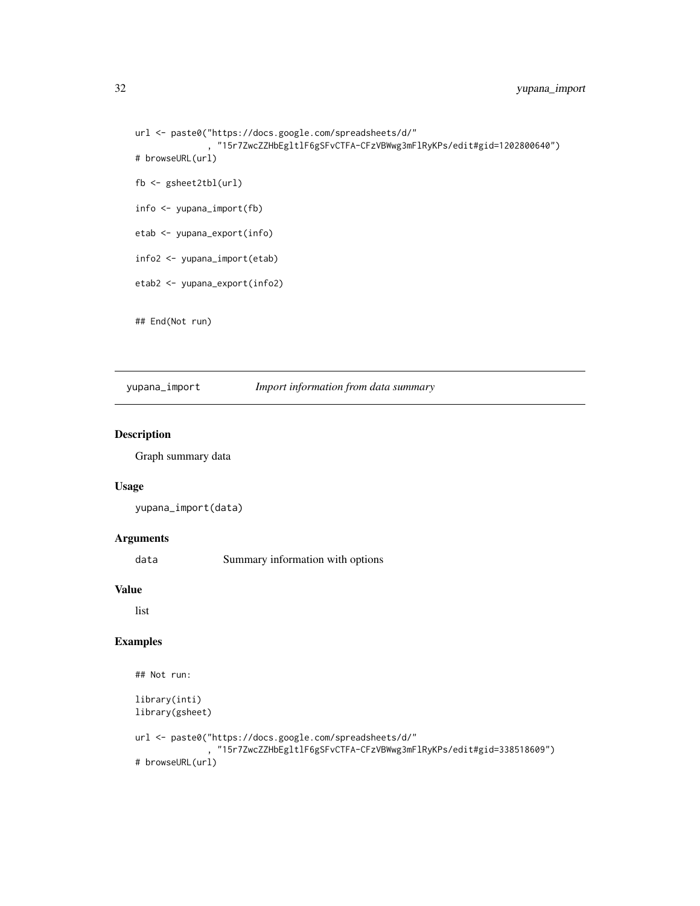```
url <- paste0("https://docs.google.com/spreadsheets/d/"
                , "15r7ZwcZZHbEgltlF6gSFvCTFA-CFzVBWwg3mFlRyKPs/edit#gid=1202800640")
# browseURL(url)
fb <- gsheet2tbl(url)
info <- yupana_import(fb)
etab <- yupana_export(info)
info2 <- yupana_import(etab)
etab2 <- yupana_export(info2)
## End(Not run)
```
yupana\_import *Import information from data summary*

#### Description

Graph summary data

#### Usage

```
yupana_import(data)
```
#### Arguments

data Summary information with options

#### Value

list

#### Examples

```
## Not run:
library(inti)
library(gsheet)
url <- paste0("https://docs.google.com/spreadsheets/d/"
                , "15r7ZwcZZHbEgltlF6gSFvCTFA-CFzVBWwg3mFlRyKPs/edit#gid=338518609")
# browseURL(url)
```
<span id="page-31-0"></span>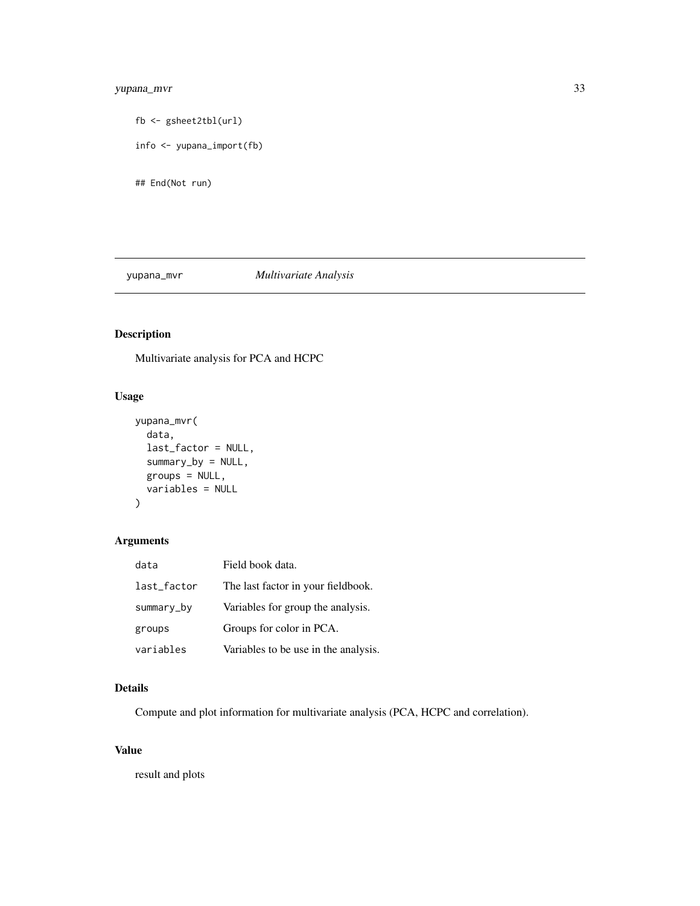#### <span id="page-32-0"></span>yupana\_mvr 33

```
fb <- gsheet2tbl(url)
info <- yupana_import(fb)
```
## End(Not run)

#### yupana\_mvr *Multivariate Analysis*

#### Description

Multivariate analysis for PCA and HCPC

#### Usage

```
yupana_mvr(
  data,
  last_factor = NULL,
  summary_by = NULL,
  groups = NULL,
  variables = NULL
)
```
#### Arguments

| data        | Field book data.                     |
|-------------|--------------------------------------|
| last_factor | The last factor in your fieldbook.   |
| summary_by  | Variables for group the analysis.    |
| groups      | Groups for color in PCA.             |
| variables   | Variables to be use in the analysis. |

#### Details

Compute and plot information for multivariate analysis (PCA, HCPC and correlation).

#### Value

result and plots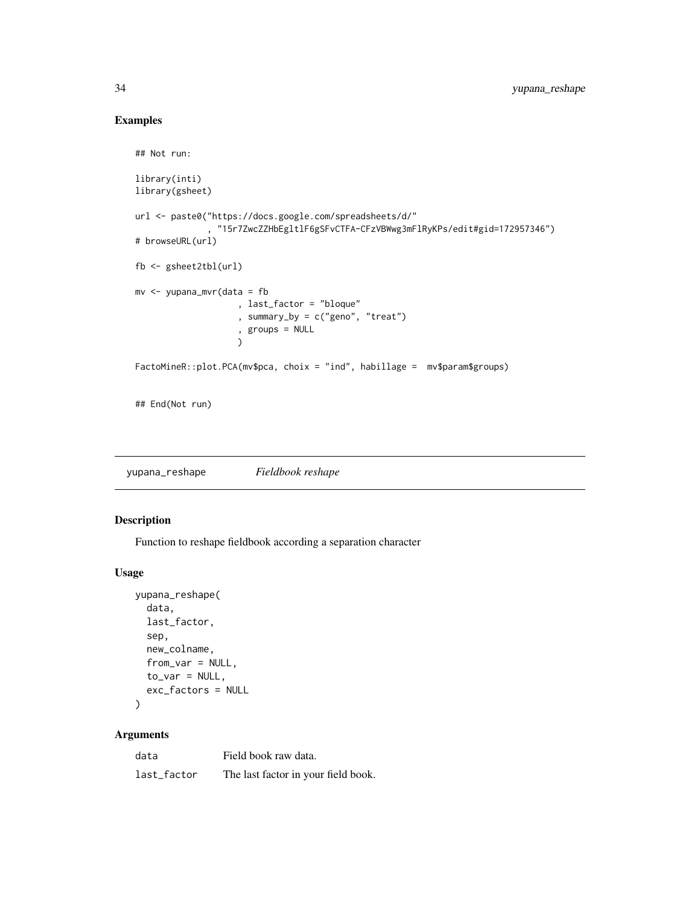#### Examples

```
## Not run:
library(inti)
library(gsheet)
url <- paste0("https://docs.google.com/spreadsheets/d/"
             , "15r7ZwcZZHbEgltlF6gSFvCTFA-CFzVBWwg3mFlRyKPs/edit#gid=172957346")
# browseURL(url)
fb <- gsheet2tbl(url)
mv <- yupana_mvr(data = fb
                    , last_factor = "bloque"
                    , summary_by = c("geno", "treat")
                    , groups = NULL
                    \lambdaFactoMineR::plot.PCA(mv$pca, choix = "ind", habillage = mv$param$groups)
## End(Not run)
```
yupana\_reshape *Fieldbook reshape*

#### Description

Function to reshape fieldbook according a separation character

#### Usage

```
yupana_reshape(
  data,
  last_factor,
  sep,
  new_colname,
  from_var = NULL,
  to_var = NULL,exc_factors = NULL
)
```
#### Arguments

| data        | Field book raw data.                |
|-------------|-------------------------------------|
| last factor | The last factor in your field book. |

<span id="page-33-0"></span>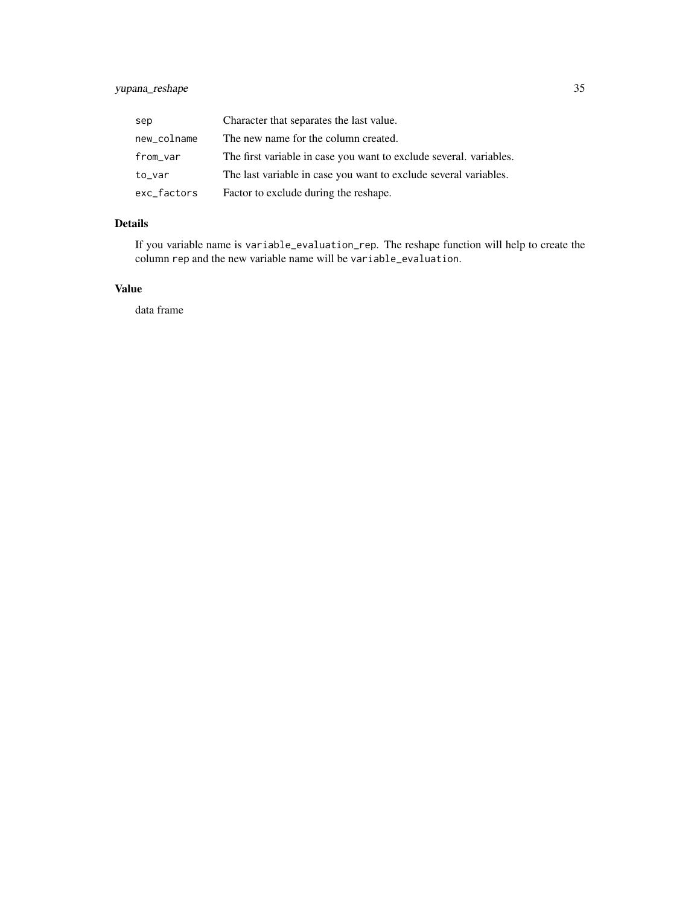#### yupana\_reshape 35

| sep         | Character that separates the last value.                           |
|-------------|--------------------------------------------------------------------|
| new_colname | The new name for the column created.                               |
| from_var    | The first variable in case you want to exclude several. variables. |
| to_var      | The last variable in case you want to exclude several variables.   |
| exc_factors | Factor to exclude during the reshape.                              |

#### Details

If you variable name is variable\_evaluation\_rep. The reshape function will help to create the column rep and the new variable name will be variable\_evaluation.

#### Value

data frame